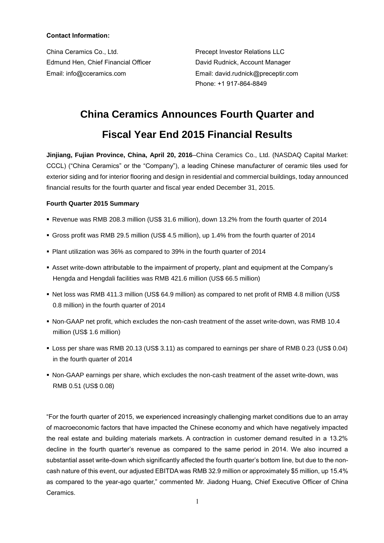# **Contact Information:**

China Ceramics Co., Ltd. Precept Investor Relations LLC Edmund Hen, Chief Financial Officer **David Rudnick, Account Manager** Email: info@cceramics.com Email: david.rudnick@preceptir.com

Phone: +1 917-864-8849

# **China Ceramics Announces Fourth Quarter and**

# **Fiscal Year End 2015 Financial Results**

**Jinjiang, Fujian Province, China, April 20, 2016**–China Ceramics Co., Ltd. (NASDAQ Capital Market: CCCL) ("China Ceramics" or the "Company"), a leading Chinese manufacturer of ceramic tiles used for exterior siding and for interior flooring and design in residential and commercial buildings, today announced financial results for the fourth quarter and fiscal year ended December 31, 2015.

# **Fourth Quarter 2015 Summary**

- Revenue was RMB 208.3 million (US\$ 31.6 million), down 13.2% from the fourth quarter of 2014
- Gross profit was RMB 29.5 million (US\$ 4.5 million), up 1.4% from the fourth quarter of 2014
- Plant utilization was 36% as compared to 39% in the fourth quarter of 2014
- Asset write-down attributable to the impairment of property, plant and equipment at the Company's Hengda and Hengdali facilities was RMB 421.6 million (US\$ 66.5 million)
- Net loss was RMB 411.3 million (US\$ 64.9 million) as compared to net profit of RMB 4.8 million (US\$ 0.8 million) in the fourth quarter of 2014
- Non-GAAP net profit, which excludes the non-cash treatment of the asset write-down, was RMB 10.4 million (US\$ 1.6 million)
- Loss per share was RMB 20.13 (US\$ 3.11) as compared to earnings per share of RMB 0.23 (US\$ 0.04) in the fourth quarter of 2014
- Non-GAAP earnings per share, which excludes the non-cash treatment of the asset write-down, was RMB 0.51 (US\$ 0.08)

"For the fourth quarter of 2015, we experienced increasingly challenging market conditions due to an array of macroeconomic factors that have impacted the Chinese economy and which have negatively impacted the real estate and building materials markets. A contraction in customer demand resulted in a 13.2% decline in the fourth quarter's revenue as compared to the same period in 2014. We also incurred a substantial asset write-down which significantly affected the fourth quarter's bottom line, but due to the noncash nature of this event, our adjusted EBITDA was RMB 32.9 million or approximately \$5 million, up 15.4% as compared to the year-ago quarter," commented Mr. Jiadong Huang, Chief Executive Officer of China Ceramics.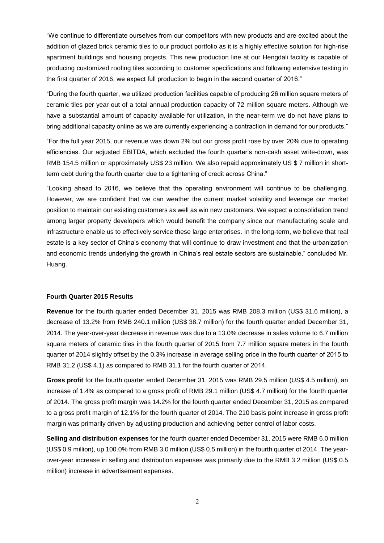"We continue to differentiate ourselves from our competitors with new products and are excited about the addition of glazed brick ceramic tiles to our product portfolio as it is a highly effective solution for high-rise apartment buildings and housing projects. This new production line at our Hengdali facility is capable of producing customized roofing tiles according to customer specifications and following extensive testing in the first quarter of 2016, we expect full production to begin in the second quarter of 2016."

"During the fourth quarter, we utilized production facilities capable of producing 26 million square meters of ceramic tiles per year out of a total annual production capacity of 72 million square meters. Although we have a substantial amount of capacity available for utilization, in the near-term we do not have plans to bring additional capacity online as we are currently experiencing a contraction in demand for our products."

"For the full year 2015, our revenue was down 2% but our gross profit rose by over 20% due to operating efficiencies. Our adjusted EBITDA, which excluded the fourth quarter's non-cash asset write-down, was RMB 154.5 million or approximately US\$ 23 million. We also repaid approximately US \$ 7 million in shortterm debt during the fourth quarter due to a tightening of credit across China."

"Looking ahead to 2016, we believe that the operating environment will continue to be challenging. However, we are confident that we can weather the current market volatility and leverage our market position to maintain our existing customers as well as win new customers. We expect a consolidation trend among larger property developers which would benefit the company since our manufacturing scale and infrastructure enable us to effectively service these large enterprises. In the long-term, we believe that real estate is a key sector of China's economy that will continue to draw investment and that the urbanization and economic trends underlying the growth in China's real estate sectors are sustainable," concluded Mr. Huang.

#### **Fourth Quarter 2015 Results**

**Revenue** for the fourth quarter ended December 31, 2015 was RMB 208.3 million (US\$ 31.6 million), a decrease of 13.2% from RMB 240.1 million (US\$ 38.7 million) for the fourth quarter ended December 31, 2014. The year-over-year decrease in revenue was due to a 13.0% decrease in sales volume to 6.7 million square meters of ceramic tiles in the fourth quarter of 2015 from 7.7 million square meters in the fourth quarter of 2014 slightly offset by the 0.3% increase in average selling price in the fourth quarter of 2015 to RMB 31.2 (US\$ 4.1) as compared to RMB 31.1 for the fourth quarter of 2014.

**Gross profit** for the fourth quarter ended December 31, 2015 was RMB 29.5 million (US\$ 4.5 million), an increase of 1.4% as compared to a gross profit of RMB 29.1 million (US\$ 4.7 million) for the fourth quarter of 2014. The gross profit margin was 14.2% for the fourth quarter ended December 31, 2015 as compared to a gross profit margin of 12.1% for the fourth quarter of 2014. The 210 basis point increase in gross profit margin was primarily driven by adjusting production and achieving better control of labor costs.

**Selling and distribution expenses** for the fourth quarter ended December 31, 2015 were RMB 6.0 million (US\$ 0.9 million), up 100.0% from RMB 3.0 million (US\$ 0.5 million) in the fourth quarter of 2014. The yearover-year increase in selling and distribution expenses was primarily due to the RMB 3.2 million (US\$ 0.5 million) increase in advertisement expenses.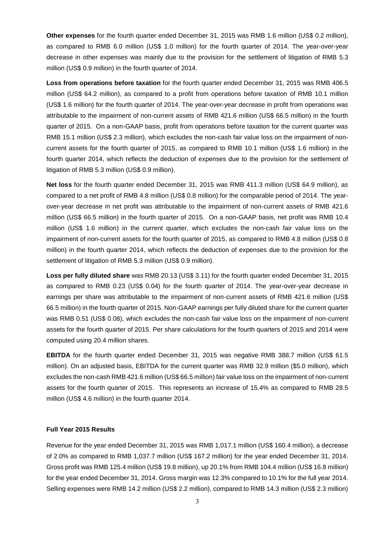**Other expenses** for the fourth quarter ended December 31, 2015 was RMB 1.6 million (US\$ 0.2 million), as compared to RMB 6.0 million (US\$ 1.0 million) for the fourth quarter of 2014. The year-over-year decrease in other expenses was mainly due to the provision for the settlement of litigation of RMB 5.3 million (US\$ 0.9 million) in the fourth quarter of 2014.

**Loss from operations before taxation** for the fourth quarter ended December 31, 2015 was RMB 406.5 million (US\$ 64.2 million), as compared to a profit from operations before taxation of RMB 10.1 million (US\$ 1.6 million) for the fourth quarter of 2014. The year-over-year decrease in profit from operations was attributable to the impairment of non-current assets of RMB 421.6 million (US\$ 66.5 million) in the fourth quarter of 2015. On a non-GAAP basis, profit from operations before taxation for the current quarter was RMB 15.1 million (US\$ 2.3 million), which excludes the non-cash fair value loss on the impairment of noncurrent assets for the fourth quarter of 2015, as compared to RMB 10.1 million (US\$ 1.6 million) in the fourth quarter 2014, which reflects the deduction of expenses due to the provision for the settlement of litigation of RMB 5.3 million (US\$ 0.9 million).

**Net loss** for the fourth quarter ended December 31, 2015 was RMB 411.3 million (US\$ 64.9 million), as compared to a net profit of RMB 4.8 million (US\$ 0.8 million) for the comparable period of 2014. The yearover-year decrease in net profit was attributable to the impairment of non-current assets of RMB 421.6 million (US\$ 66.5 million) in the fourth quarter of 2015. On a non-GAAP basis, net profit was RMB 10.4 million (US\$ 1.6 million) in the current quarter, which excludes the non-cash fair value loss on the impairment of non-current assets for the fourth quarter of 2015, as compared to RMB 4.8 million (US\$ 0.8 million) in the fourth quarter 2014, which reflects the deduction of expenses due to the provision for the settlement of litigation of RMB 5.3 million (US\$ 0.9 million).

**Loss per fully diluted share** was RMB 20.13 (US\$ 3.11) for the fourth quarter ended December 31, 2015 as compared to RMB 0.23 (US\$ 0.04) for the fourth quarter of 2014. The year-over-year decrease in earnings per share was attributable to the impairment of non-current assets of RMB 421.6 million (US\$ 66.5 million) in the fourth quarter of 2015. Non-GAAP earnings per fully diluted share for the current quarter was RMB 0.51 (US\$ 0.08), which excludes the non-cash fair value loss on the impairment of non-current assets for the fourth quarter of 2015. Per share calculations for the fourth quarters of 2015 and 2014 were computed using 20.4 million shares.

**EBITDA** for the fourth quarter ended December 31, 2015 was negative RMB 388.7 million (US\$ 61.5 million). On an adjusted basis, EBITDA for the current quarter was RMB 32.9 million (\$5.0 million), which excludes the non-cash RMB 421.6 million (US\$ 66.5 million) fair value loss on the impairment of non-current assets for the fourth quarter of 2015. This represents an increase of 15.4% as compared to RMB 28.5 million (US\$ 4.6 million) in the fourth quarter 2014.

## **Full Year 2015 Results**

Revenue for the year ended December 31, 2015 was RMB 1,017.1 million (US\$ 160.4 million), a decrease of 2.0% as compared to RMB 1,037.7 million (US\$ 167.2 million) for the year ended December 31, 2014. Gross profit was RMB 125.4 million (US\$ 19.8 million), up 20.1% from RMB 104.4 million (US\$ 16.8 million) for the year ended December 31, 2014. Gross margin was 12.3% compared to 10.1% for the full year 2014. Selling expenses were RMB 14.2 million (US\$ 2.2 million), compared to RMB 14.3 million (US\$ 2.3 million)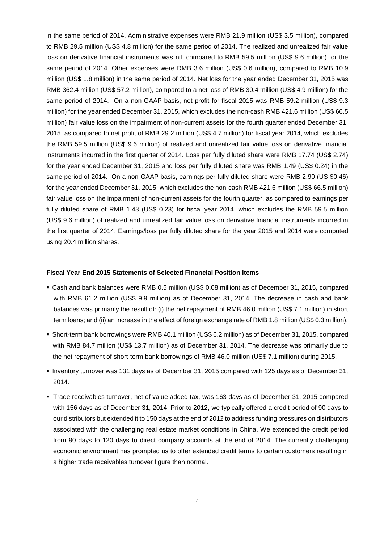in the same period of 2014. Administrative expenses were RMB 21.9 million (US\$ 3.5 million), compared to RMB 29.5 million (US\$ 4.8 million) for the same period of 2014. The realized and unrealized fair value loss on derivative financial instruments was nil, compared to RMB 59.5 million (US\$ 9.6 million) for the same period of 2014. Other expenses were RMB 3.6 million (US\$ 0.6 million), compared to RMB 10.9 million (US\$ 1.8 million) in the same period of 2014. Net loss for the year ended December 31, 2015 was RMB 362.4 million (US\$ 57.2 million), compared to a net loss of RMB 30.4 million (US\$ 4.9 million) for the same period of 2014. On a non-GAAP basis, net profit for fiscal 2015 was RMB 59.2 million (US\$ 9.3 million) for the year ended December 31, 2015, which excludes the non-cash RMB 421.6 million (US\$ 66.5 million) fair value loss on the impairment of non-current assets for the fourth quarter ended December 31, 2015, as compared to net profit of RMB 29.2 million (US\$ 4.7 million) for fiscal year 2014, which excludes the RMB 59.5 million (US\$ 9.6 million) of realized and unrealized fair value loss on derivative financial instruments incurred in the first quarter of 2014. Loss per fully diluted share were RMB 17.74 (US\$ 2.74) for the year ended December 31, 2015 and loss per fully diluted share was RMB 1.49 (US\$ 0.24) in the same period of 2014. On a non-GAAP basis, earnings per fully diluted share were RMB 2.90 (US \$0.46) for the year ended December 31, 2015, which excludes the non-cash RMB 421.6 million (US\$ 66.5 million) fair value loss on the impairment of non-current assets for the fourth quarter, as compared to earnings per fully diluted share of RMB 1.43 (US\$ 0.23) for fiscal year 2014, which excludes the RMB 59.5 million (US\$ 9.6 million) of realized and unrealized fair value loss on derivative financial instruments incurred in the first quarter of 2014. Earnings/loss per fully diluted share for the year 2015 and 2014 were computed using 20.4 million shares.

## **Fiscal Year End 2015 Statements of Selected Financial Position Items**

- Cash and bank balances were RMB 0.5 million (US\$ 0.08 million) as of December 31, 2015, compared with RMB 61.2 million (US\$ 9.9 million) as of December 31, 2014. The decrease in cash and bank balances was primarily the result of: (i) the net repayment of RMB 46.0 million (US\$ 7.1 million) in short term loans; and (ii) an increase in the effect of foreign exchange rate of RMB 1.8 million (US\$ 0.3 million).
- Short-term bank borrowings were RMB 40.1 million (US\$ 6.2 million) as of December 31, 2015, compared with RMB 84.7 million (US\$ 13.7 million) as of December 31, 2014. The decrease was primarily due to the net repayment of short-term bank borrowings of RMB 46.0 million (US\$ 7.1 million) during 2015.
- Inventory turnover was 131 days as of December 31, 2015 compared with 125 days as of December 31, 2014.
- Trade receivables turnover, net of value added tax, was 163 days as of December 31, 2015 compared with 156 days as of December 31, 2014. Prior to 2012, we typically offered a credit period of 90 days to our distributors but extended it to 150 days at the end of 2012 to address funding pressures on distributors associated with the challenging real estate market conditions in China. We extended the credit period from 90 days to 120 days to direct company accounts at the end of 2014. The currently challenging economic environment has prompted us to offer extended credit terms to certain customers resulting in a higher trade receivables turnover figure than normal.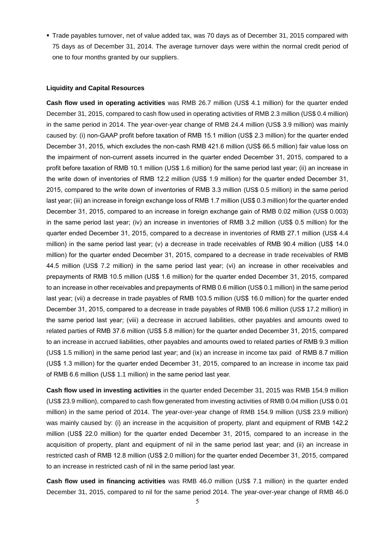Trade payables turnover, net of value added tax, was 70 days as of December 31, 2015 compared with 75 days as of December 31, 2014. The average turnover days were within the normal credit period of one to four months granted by our suppliers.

#### **Liquidity and Capital Resources**

**Cash flow used in operating activities** was RMB 26.7 million (US\$ 4.1 million) for the quarter ended December 31, 2015, compared to cash flow used in operating activities of RMB 2.3 million (US\$ 0.4 million) in the same period in 2014. The year-over-year change of RMB 24.4 million (US\$ 3.9 million) was mainly caused by: (i) non-GAAP profit before taxation of RMB 15.1 million (US\$ 2.3 million) for the quarter ended December 31, 2015, which excludes the non-cash RMB 421.6 million (US\$ 66.5 million) fair value loss on the impairment of non-current assets incurred in the quarter ended December 31, 2015, compared to a profit before taxation of RMB 10.1 million (US\$ 1.6 million) for the same period last year; (ii) an increase in the write down of inventories of RMB 12.2 million (US\$ 1.9 million) for the quarter ended December 31, 2015, compared to the write down of inventories of RMB 3.3 million (US\$ 0.5 million) in the same period last year; (iii) an increase in foreign exchange loss of RMB 1.7 million (US\$ 0.3 million) for the quarter ended December 31, 2015, compared to an increase in foreign exchange gain of RMB 0.02 million (US\$ 0.003) in the same period last year; (iv) an increase in inventories of RMB 3.2 million (US\$ 0.5 million) for the quarter ended December 31, 2015, compared to a decrease in inventories of RMB 27.1 million (US\$ 4.4 million) in the same period last year; (v) a decrease in trade receivables of RMB 90.4 million (US\$ 14.0 million) for the quarter ended December 31, 2015, compared to a decrease in trade receivables of RMB 44.5 million (US\$ 7.2 million) in the same period last year; (vi) an increase in other receivables and prepayments of RMB 10.5 million (US\$ 1.6 million) for the quarter ended December 31, 2015, compared to an increase in other receivables and prepayments of RMB 0.6 million (US\$ 0.1 million) in the same period last year; (vii) a decrease in trade payables of RMB 103.5 million (US\$ 16.0 million) for the quarter ended December 31, 2015, compared to a decrease in trade payables of RMB 106.6 million (US\$ 17.2 million) in the same period last year; (viii) a decrease in accrued liabilities, other payables and amounts owed to related parties of RMB 37.6 million (US\$ 5.8 million) for the quarter ended December 31, 2015, compared to an increase in accrued liabilities, other payables and amounts owed to related parties of RMB 9.3 million (US\$ 1.5 million) in the same period last year; and (ix) an increase in income tax paid of RMB 8.7 million (US\$ 1.3 million) for the quarter ended December 31, 2015, compared to an increase in income tax paid of RMB 6.6 million (US\$ 1.1 million) in the same period last year.

**Cash flow used in investing activities** in the quarter ended December 31, 2015 was RMB 154.9 million (US\$ 23.9 million), compared to cash flow generated from investing activities of RMB 0.04 million (US\$ 0.01 million) in the same period of 2014. The year-over-year change of RMB 154.9 million (US\$ 23.9 million) was mainly caused by: (i) an increase in the acquisition of property, plant and equipment of RMB 142.2 million (US\$ 22.0 million) for the quarter ended December 31, 2015, compared to an increase in the acquisition of property, plant and equipment of nil in the same period last year; and (ii) an increase in restricted cash of RMB 12.8 million (US\$ 2.0 million) for the quarter ended December 31, 2015, compared to an increase in restricted cash of nil in the same period last year.

**Cash flow used in financing activities** was RMB 46.0 million (US\$ 7.1 million) in the quarter ended December 31, 2015, compared to nil for the same period 2014. The year-over-year change of RMB 46.0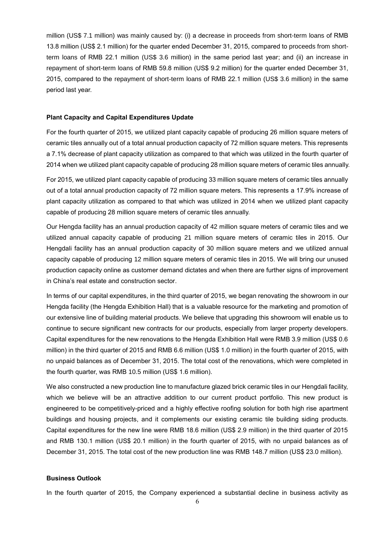million (US\$ 7.1 million) was mainly caused by: (i) a decrease in proceeds from short-term loans of RMB 13.8 million (US\$ 2.1 million) for the quarter ended December 31, 2015, compared to proceeds from shortterm loans of RMB 22.1 million (US\$ 3.6 million) in the same period last year; and (ii) an increase in repayment of short-term loans of RMB 59.8 million (US\$ 9.2 million) for the quarter ended December 31, 2015, compared to the repayment of short-term loans of RMB 22.1 million (US\$ 3.6 million) in the same period last year.

#### **Plant Capacity and Capital Expenditures Update**

For the fourth quarter of 2015, we utilized plant capacity capable of producing 26 million square meters of ceramic tiles annually out of a total annual production capacity of 72 million square meters. This represents a 7.1% decrease of plant capacity utilization as compared to that which was utilized in the fourth quarter of 2014 when we utilized plant capacity capable of producing 28 million square meters of ceramic tiles annually.

For 2015, we utilized plant capacity capable of producing 33 million square meters of ceramic tiles annually out of a total annual production capacity of 72 million square meters. This represents a 17.9% increase of plant capacity utilization as compared to that which was utilized in 2014 when we utilized plant capacity capable of producing 28 million square meters of ceramic tiles annually.

Our Hengda facility has an annual production capacity of 42 million square meters of ceramic tiles and we utilized annual capacity capable of producing 21 million square meters of ceramic tiles in 2015. Our Hengdali facility has an annual production capacity of 30 million square meters and we utilized annual capacity capable of producing 12 million square meters of ceramic tiles in 2015. We will bring our unused production capacity online as customer demand dictates and when there are further signs of improvement in China's real estate and construction sector.

In terms of our capital expenditures, in the third quarter of 2015, we began renovating the showroom in our Hengda facility (the Hengda Exhibition Hall) that is a valuable resource for the marketing and promotion of our extensive line of building material products. We believe that upgrading this showroom will enable us to continue to secure significant new contracts for our products, especially from larger property developers. Capital expenditures for the new renovations to the Hengda Exhibition Hall were RMB 3.9 million (US\$ 0.6 million) in the third quarter of 2015 and RMB 6.6 million (US\$ 1.0 million) in the fourth quarter of 2015, with no unpaid balances as of December 31, 2015. The total cost of the renovations, which were completed in the fourth quarter, was RMB 10.5 million (US\$ 1.6 million).

We also constructed a new production line to manufacture glazed brick ceramic tiles in our Hengdali facility, which we believe will be an attractive addition to our current product portfolio. This new product is engineered to be competitively-priced and a highly effective roofing solution for both high rise apartment buildings and housing projects, and it complements our existing ceramic tile building siding products. Capital expenditures for the new line were RMB 18.6 million (US\$ 2.9 million) in the third quarter of 2015 and RMB 130.1 million (US\$ 20.1 million) in the fourth quarter of 2015, with no unpaid balances as of December 31, 2015. The total cost of the new production line was RMB 148.7 million (US\$ 23.0 million).

## **Business Outlook**

In the fourth quarter of 2015, the Company experienced a substantial decline in business activity as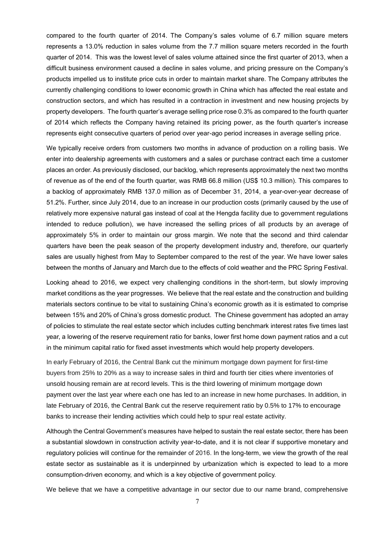compared to the fourth quarter of 2014. The Company's sales volume of 6.7 million square meters represents a 13.0% reduction in sales volume from the 7.7 million square meters recorded in the fourth quarter of 2014. This was the lowest level of sales volume attained since the first quarter of 2013, when a difficult business environment caused a decline in sales volume, and pricing pressure on the Company's products impelled us to institute price cuts in order to maintain market share. The Company attributes the currently challenging conditions to lower economic growth in China which has affected the real estate and construction sectors, and which has resulted in a contraction in investment and new housing projects by property developers. The fourth quarter's average selling price rose 0.3% as compared to the fourth quarter of 2014 which reflects the Company having retained its pricing power, as the fourth quarter's increase represents eight consecutive quarters of period over year-ago period increases in average selling price.

We typically receive orders from customers two months in advance of production on a rolling basis. We enter into dealership agreements with customers and a sales or purchase contract each time a customer places an order. As previously disclosed, our backlog, which represents approximately the next two months of revenue as of the end of the fourth quarter, was RMB 66.8 million (US\$ 10.3 million). This compares to a backlog of approximately RMB 137.0 million as of December 31, 2014, a year-over-year decrease of 51.2%. Further, since July 2014, due to an increase in our production costs (primarily caused by the use of relatively more expensive natural gas instead of coal at the Hengda facility due to government regulations intended to reduce pollution), we have increased the selling prices of all products by an average of approximately 5% in order to maintain our gross margin. We note that the second and third calendar quarters have been the peak season of the property development industry and, therefore, our quarterly sales are usually highest from May to September compared to the rest of the year. We have lower sales between the months of January and March due to the effects of cold weather and the PRC Spring Festival.

Looking ahead to 2016, we expect very challenging conditions in the short-term, but slowly improving market conditions as the year progresses. We believe that the real estate and the construction and building materials sectors continue to be vital to sustaining China's economic growth as it is estimated to comprise between 15% and 20% of China's gross domestic product. The Chinese government has adopted an array of policies to stimulate the real estate sector which includes cutting benchmark interest rates five times last year, a lowering of the reserve requirement ratio for banks, lower first home down payment ratios and a cut in the minimum capital ratio for fixed asset investments which would help property developers.

In early February of 2016, the Central Bank cut the minimum mortgage down payment for first-time buyers from 25% to 20% as a way to increase sales in third and fourth tier cities where inventories of unsold housing remain are at record levels. This is the third lowering of minimum mortgage down payment over the last year where each one has led to an increase in new home purchases. In addition, in late February of 2016, the Central Bank cut the reserve requirement ratio by 0.5% to 17% to encourage banks to increase their lending activities which could help to spur real estate activity.

Although the Central Government's measures have helped to sustain the real estate sector, there has been a substantial slowdown in construction activity year-to-date, and it is not clear if supportive monetary and regulatory policies will continue for the remainder of 2016. In the long-term, we view the growth of the real estate sector as sustainable as it is underpinned by urbanization which is expected to lead to a more consumption-driven economy, and which is a key objective of government policy.

We believe that we have a competitive advantage in our sector due to our name brand, comprehensive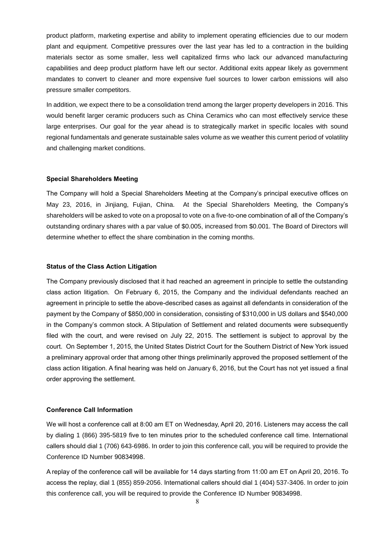product platform, marketing expertise and ability to implement operating efficiencies due to our modern plant and equipment. Competitive pressures over the last year has led to a contraction in the building materials sector as some smaller, less well capitalized firms who lack our advanced manufacturing capabilities and deep product platform have left our sector. Additional exits appear likely as government mandates to convert to cleaner and more expensive fuel sources to lower carbon emissions will also pressure smaller competitors.

In addition, we expect there to be a consolidation trend among the larger property developers in 2016. This would benefit larger ceramic producers such as China Ceramics who can most effectively service these large enterprises. Our goal for the year ahead is to strategically market in specific locales with sound regional fundamentals and generate sustainable sales volume as we weather this current period of volatility and challenging market conditions.

## **Special Shareholders Meeting**

The Company will hold a Special Shareholders Meeting at the Company's principal executive offices on May 23, 2016, in Jinjiang, Fujian, China. At the Special Shareholders Meeting, the Company's shareholders will be asked to vote on a proposal to vote on a five-to-one combination of all of the Company's outstanding ordinary shares with a par value of \$0.005, increased from \$0.001. The Board of Directors will determine whether to effect the share combination in the coming months.

#### **Status of the Class Action Litigation**

The Company previously disclosed that it had reached an agreement in principle to settle the outstanding class action litigation. On February 6, 2015, the Company and the individual defendants reached an agreement in principle to settle the above-described cases as against all defendants in consideration of the payment by the Company of \$850,000 in consideration, consisting of \$310,000 in US dollars and \$540,000 in the Company's common stock. A Stipulation of Settlement and related documents were subsequently filed with the court, and were revised on July 22, 2015. The settlement is subject to approval by the court. On September 1, 2015, the United States District Court for the Southern District of New York issued a preliminary approval order that among other things preliminarily approved the proposed settlement of the class action litigation. A final hearing was held on January 6, 2016, but the Court has not yet issued a final order approving the settlement.

#### **Conference Call Information**

We will host a conference call at 8:00 am ET on Wednesday, April 20, 2016. Listeners may access the call by dialing 1 (866) 395-5819 five to ten minutes prior to the scheduled conference call time. International callers should dial 1 (706) 643-6986. In order to join this conference call, you will be required to provide the Conference ID Number 90834998.

A replay of the conference call will be available for 14 days starting from 11:00 am ET on April 20, 2016. To access the replay, dial 1 (855) 859-2056. International callers should dial 1 (404) 537-3406. In order to join this conference call, you will be required to provide the Conference ID Number 90834998.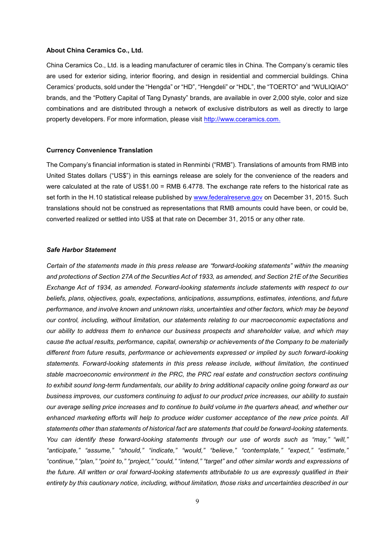#### **About China Ceramics Co., Ltd.**

China Ceramics Co., Ltd. is a leading manufacturer of ceramic tiles in China. The Company's ceramic tiles are used for exterior siding, interior flooring, and design in residential and commercial buildings. China Ceramics' products, sold under the "Hengda" or "HD", "Hengdeli" or "HDL", the "TOERTO" and "WULIQIAO" brands, and the "Pottery Capital of Tang Dynasty" brands, are available in over 2,000 style, color and size combinations and are distributed through a network of exclusive distributors as well as directly to large property developers. For more information, please visit [http://www.cceramics.com.](http://www.cceramics.com/)

#### **Currency Convenience Translation**

The Company's financial information is stated in Renminbi ("RMB"). Translations of amounts from RMB into United States dollars ("US\$") in this earnings release are solely for the convenience of the readers and were calculated at the rate of US\$1.00 = RMB 6.4778. The exchange rate refers to the historical rate as set forth in the H.10 statistical release published by [www.federalreserve.gov](http://www.federalreserve.gov/) on December 31, 2015. Such translations should not be construed as representations that RMB amounts could have been, or could be, converted realized or settled into US\$ at that rate on December 31, 2015 or any other rate.

## *Safe Harbor Statement*

*Certain of the statements made in this press release are "forward-looking statements" within the meaning and protections of Section 27A of the Securities Act of 1933, as amended, and Section 21E of the Securities Exchange Act of 1934, as amended. Forward-looking statements include statements with respect to our beliefs, plans, objectives, goals, expectations, anticipations, assumptions, estimates, intentions, and future performance, and involve known and unknown risks, uncertainties and other factors, which may be beyond our control, including, without limitation, our statements relating to our macroeconomic expectations and our ability to address them to enhance our business prospects and shareholder value, and which may cause the actual results, performance, capital, ownership or achievements of the Company to be materially different from future results, performance or achievements expressed or implied by such forward-looking statements. Forward-looking statements in this press release include, without limitation, the continued stable macroeconomic environment in the PRC, the PRC real estate and construction sectors continuing to exhibit sound long-term fundamentals, our ability to bring additional capacity online going forward as our business improves, our customers continuing to adjust to our product price increases, our ability to sustain our average selling price increases and to continue to build volume in the quarters ahead, and whether our enhanced marketing efforts will help to produce wider customer acceptance of the new price points. All statements other than statements of historical fact are statements that could be forward-looking statements. You can identify these forward-looking statements through our use of words such as "may," "will," "anticipate," "assume," "should," "indicate," "would," "believe," "contemplate," "expect," "estimate," "continue," "plan," "point to," "project," "could," "intend," "target" and other similar words and expressions of the future. All written or oral forward-looking statements attributable to us are expressly qualified in their entirety by this cautionary notice, including, without limitation, those risks and uncertainties described in our*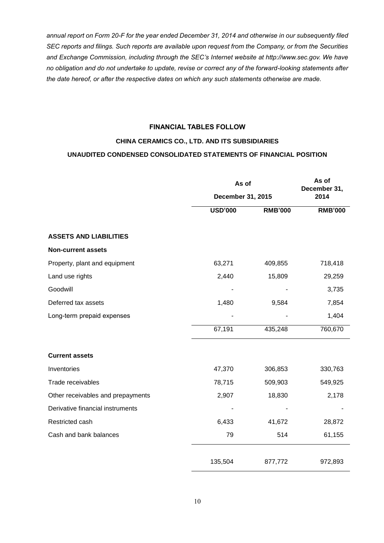*annual report on Form 20-F for the year ended December 31, 2014 and otherwise in our subsequently filed SEC reports and filings. Such reports are available upon request from the Company, or from the Securities and Exchange Commission, including through the SEC's Internet website at http://www.sec.gov. We have no obligation and do not undertake to update, revise or correct any of the forward-looking statements after the date hereof, or after the respective dates on which any such statements otherwise are made.*

## **FINANCIAL TABLES FOLLOW**

# **CHINA CERAMICS CO., LTD. AND ITS SUBSIDIARIES**

# **UNAUDITED CONDENSED CONSOLIDATED STATEMENTS OF FINANCIAL POSITION**

|                                   |                | As of             |                |  |
|-----------------------------------|----------------|-------------------|----------------|--|
|                                   |                | December 31, 2015 |                |  |
|                                   | <b>USD'000</b> | <b>RMB'000</b>    | <b>RMB'000</b> |  |
| <b>ASSETS AND LIABILITIES</b>     |                |                   |                |  |
| <b>Non-current assets</b>         |                |                   |                |  |
| Property, plant and equipment     | 63,271         | 409,855           | 718,418        |  |
| Land use rights                   | 2,440          | 15,809            | 29,259         |  |
| Goodwill                          |                |                   | 3,735          |  |
| Deferred tax assets               | 1,480          | 9,584             | 7,854          |  |
| Long-term prepaid expenses        |                |                   | 1,404          |  |
|                                   | 67,191         | 435,248           | 760,670        |  |
| <b>Current assets</b>             |                |                   |                |  |
| Inventories                       | 47,370         | 306,853           | 330,763        |  |
| Trade receivables                 | 78,715         | 509,903           | 549,925        |  |
| Other receivables and prepayments | 2,907          | 18,830            | 2,178          |  |
| Derivative financial instruments  |                |                   |                |  |
| Restricted cash                   | 6,433          | 41,672            | 28,872         |  |
| Cash and bank balances            | 79             | 514               | 61,155         |  |
|                                   | 135,504        | 877,772           | 972,893        |  |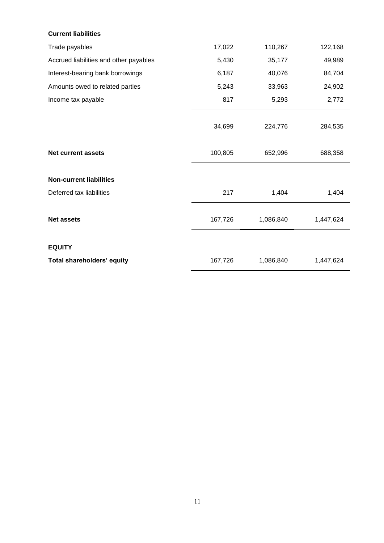# **Current liabilities**

| Trade payables                         | 17,022  | 110,267   | 122,168   |
|----------------------------------------|---------|-----------|-----------|
| Accrued liabilities and other payables | 5,430   | 35,177    | 49,989    |
| Interest-bearing bank borrowings       | 6,187   | 40,076    | 84,704    |
| Amounts owed to related parties        | 5,243   | 33,963    | 24,902    |
| Income tax payable                     | 817     | 5,293     | 2,772     |
|                                        | 34,699  | 224,776   | 284,535   |
| <b>Net current assets</b>              | 100,805 | 652,996   | 688,358   |
| <b>Non-current liabilities</b>         |         |           |           |
| Deferred tax liabilities               | 217     | 1,404     | 1,404     |
| <b>Net assets</b>                      | 167,726 | 1,086,840 | 1,447,624 |
| <b>EQUITY</b>                          |         |           |           |
| Total shareholders' equity             | 167,726 | 1,086,840 | 1,447,624 |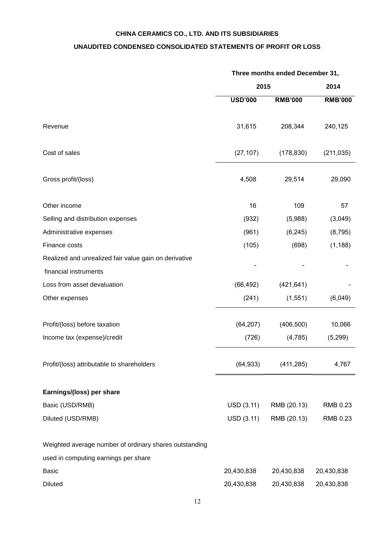# **CHINA CERAMICS CO., LTD. AND ITS SUBSIDIARIES**

# **UNAUDITED CONDENSED CONSOLIDATED STATEMENTS OF PROFIT OR LOSS**

|                                                        | Three months ended December 31, |                |                |
|--------------------------------------------------------|---------------------------------|----------------|----------------|
|                                                        | 2015                            |                | 2014           |
|                                                        | <b>USD'000</b>                  | <b>RMB'000</b> | <b>RMB'000</b> |
| Revenue                                                | 31,615                          | 208,344        | 240,125        |
| Cost of sales                                          | (27, 107)                       | (178, 830)     | (211, 035)     |
| Gross profit/(loss)                                    | 4,508                           | 29,514         | 29,090         |
| Other income                                           | 16                              | 109            | 57             |
| Selling and distribution expenses                      | (932)                           | (5,988)        | (3,049)        |
| Administrative expenses                                | (961)                           | (6, 245)       | (8, 795)       |
| Finance costs                                          | (105)                           | (698)          | (1, 188)       |
| Realized and unrealized fair value gain on derivative  |                                 |                |                |
| financial instruments                                  |                                 |                |                |
| Loss from asset devaluation                            | (66, 492)                       | (421, 641)     |                |
| Other expenses                                         | (241)                           | (1, 551)       | (6,049)        |
| Profit/(loss) before taxation                          | (64, 207)                       | (406, 500)     | 10,066         |
| Income tax (expense)/credit                            | (726)                           | (4,785)        | (5,299)        |
| Profit/(loss) attributable to shareholders             | (64, 933)                       | (411, 285)     | 4,767          |
| Earnings/(loss) per share                              |                                 |                |                |
| Basic (USD/RMB)                                        | USD (3.11)                      | RMB (20.13)    | RMB 0.23       |
| Diluted (USD/RMB)                                      | USD (3.11)                      | RMB (20.13)    | RMB 0.23       |
| Weighted average number of ordinary shares outstanding |                                 |                |                |
| used in computing earnings per share                   |                                 |                |                |
| <b>Basic</b>                                           | 20,430,838                      | 20,430,838     | 20,430,838     |
| <b>Diluted</b>                                         | 20,430,838                      | 20,430,838     | 20,430,838     |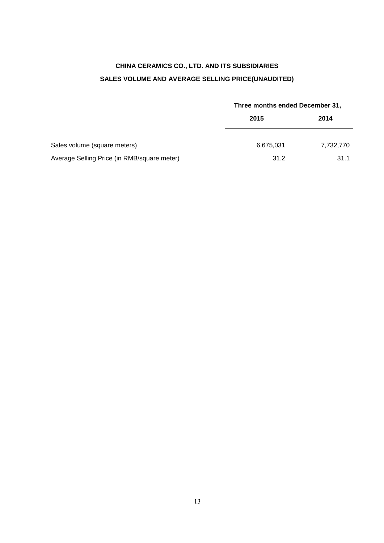# **CHINA CERAMICS CO., LTD. AND ITS SUBSIDIARIES SALES VOLUME AND AVERAGE SELLING PRICE(UNAUDITED)**

|                                             | Three months ended December 31, |           |  |
|---------------------------------------------|---------------------------------|-----------|--|
|                                             | 2015                            | 2014      |  |
| Sales volume (square meters)                | 6,675,031                       | 7,732,770 |  |
| Average Selling Price (in RMB/square meter) | 31.2                            | 31.1      |  |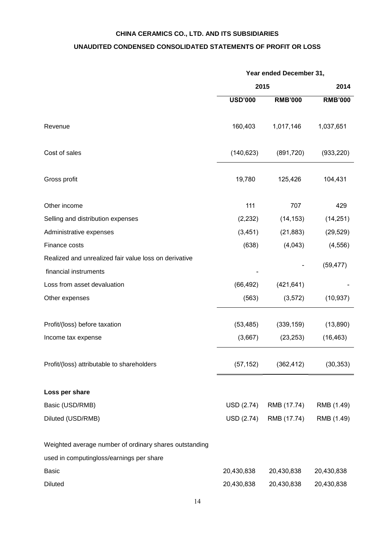# **CHINA CERAMICS CO., LTD. AND ITS SUBSIDIARIES**

# **UNAUDITED CONDENSED CONSOLIDATED STATEMENTS OF PROFIT OR LOSS**

|                                                        | Year ended December 31, |                |                |  |
|--------------------------------------------------------|-------------------------|----------------|----------------|--|
|                                                        |                         | 2015           |                |  |
|                                                        | <b>USD'000</b>          | <b>RMB'000</b> | <b>RMB'000</b> |  |
| Revenue                                                | 160,403                 | 1,017,146      | 1,037,651      |  |
| Cost of sales                                          | (140, 623)              | (891, 720)     | (933, 220)     |  |
| Gross profit                                           | 19,780                  | 125,426        | 104,431        |  |
| Other income                                           | 111                     | 707            | 429            |  |
| Selling and distribution expenses                      | (2, 232)                | (14, 153)      | (14, 251)      |  |
| Administrative expenses                                | (3, 451)                | (21, 883)      | (29, 529)      |  |
| Finance costs                                          | (638)                   | (4,043)        | (4, 556)       |  |
| Realized and unrealized fair value loss on derivative  |                         |                | (59, 477)      |  |
| financial instruments                                  |                         |                |                |  |
| Loss from asset devaluation                            | (66, 492)               | (421, 641)     |                |  |
| Other expenses                                         | (563)                   | (3, 572)       | (10, 937)      |  |
| Profit/(loss) before taxation                          | (53, 485)               | (339, 159)     | (13,890)       |  |
| Income tax expense                                     | (3,667)                 | (23, 253)      | (16, 463)      |  |
| Profit/(loss) attributable to shareholders             | (57, 152)               | (362, 412)     | (30, 353)      |  |
| Loss per share                                         |                         |                |                |  |
| Basic (USD/RMB)                                        | USD (2.74)              | RMB (17.74)    | RMB (1.49)     |  |
| Diluted (USD/RMB)                                      | USD (2.74)              | RMB (17.74)    | RMB (1.49)     |  |
| Weighted average number of ordinary shares outstanding |                         |                |                |  |
| used in computingloss/earnings per share               |                         |                |                |  |
| <b>Basic</b>                                           | 20,430,838              | 20,430,838     | 20,430,838     |  |
| <b>Diluted</b>                                         | 20,430,838              | 20,430,838     | 20,430,838     |  |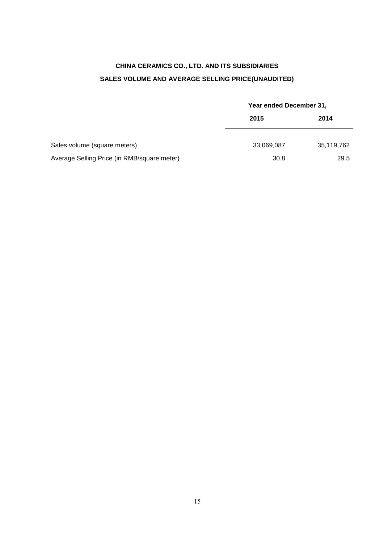# **CHINA CERAMICS CO., LTD. AND ITS SUBSIDIARIES SALES VOLUME AND AVERAGE SELLING PRICE(UNAUDITED)**

|                                             |            | Year ended December 31, |  |  |
|---------------------------------------------|------------|-------------------------|--|--|
|                                             | 2015       | 2014                    |  |  |
| Sales volume (square meters)                | 33,069,087 | 35,119,762              |  |  |
| Average Selling Price (in RMB/square meter) | 30.8       | 29.5                    |  |  |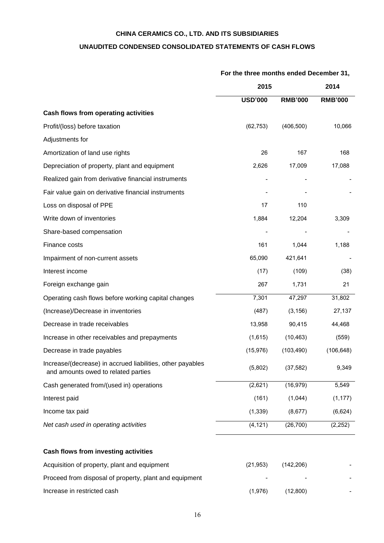## **CHINA CERAMICS CO., LTD. AND ITS SUBSIDIARIES**

## **UNAUDITED CONDENSED CONSOLIDATED STATEMENTS OF CASH FLOWS**

# **2015 2014 USD'000 RMB'000 RMB'000 Cash flows from operating activities**  Profit/(loss) before taxation (62,753) (406,500) 10,066 Adjustments for Amortization of land use rights 168 Depreciation of property, plant and equipment 2,626 17,009 17,088 Realized gain from derivative financial instruments Theorem Assembly to the state of the state of the state of the state of the state of the state of the state of the state of the state of the state of the state of the sta Fair value gain on derivative financial instruments and the state of the state of the state of the state of the state of the state of the state of the state of the state of the state of the state of the state of the state Loss on disposal of PPE 110 Write down of inventories and the state of the state of the state of the state of the state of the state of the state of the state of the state of the state of the state of the state of the state of the state of the state Share-based compensation Finance costs 1,044 1,188 Impairment of non-current assets 65,090 421,641 Interest income (17) (109) (38) Foreign exchange gain 21 and 267 1,731 21 Operating cash flows before working capital changes 7,301 47,297 31,802 (Increase)/Decrease in inventories (487) (3,156) 27,137 Decrease in trade receivables 13,958 90,415 44,468 Increase in other receivables and prepayments (1,615) (1,615) (10,463) (559) Decrease in trade payables (15,976) (103,490) (106,648) Increase/(decrease) in accrued liabilities, other payables and amounts owed to related parties (5,002) (37,582) (37,582) 9,349 Cash generated from/(used in) operations (2,621) (16,979) 5,549 Interest paid (161) (1,044) (1,177) Income tax paid (1,339) (8,677) (6,624) *Net cash used in operating activities* (4,121) (26,700) (2,252) **Cash flows from investing activities**  Acquisition of property, plant and equipment (21,953) (142,206)

## **For the three months ended December 31,**

Proceed from disposal of property, plant and equipment Increase in restricted cash (1,976) (1,976) (12,800)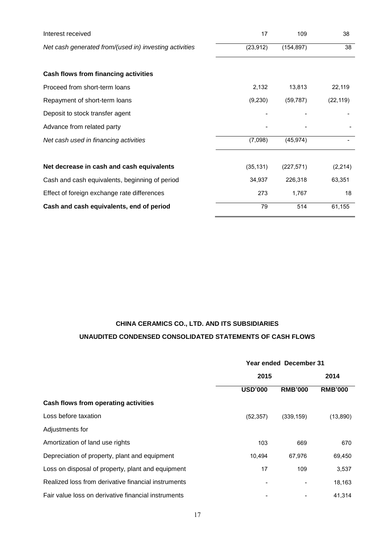| Interest received                                      | 17        | 109        | 38        |
|--------------------------------------------------------|-----------|------------|-----------|
| Net cash generated from/(used in) investing activities | (23, 912) | (154, 897) | 38        |
|                                                        |           |            |           |
| Cash flows from financing activities                   |           |            |           |
| Proceed from short-term loans                          | 2,132     | 13,813     | 22,119    |
| Repayment of short-term loans                          | (9,230)   | (59, 787)  | (22, 119) |
| Deposit to stock transfer agent                        |           |            |           |
| Advance from related party                             |           |            |           |
| Net cash used in financing activities                  | (7,098)   | (45, 974)  |           |
|                                                        |           |            |           |
| Net decrease in cash and cash equivalents              | (35, 131) | (227, 571) | (2, 214)  |
| Cash and cash equivalents, beginning of period         | 34,937    | 226,318    | 63,351    |
| Effect of foreign exchange rate differences            | 273       | 1,767      | 18        |
| Cash and cash equivalents, end of period               | 79        | 514        | 61,155    |

# **CHINA CERAMICS CO., LTD. AND ITS SUBSIDIARIES UNAUDITED CONDENSED CONSOLIDATED STATEMENTS OF CASH FLOWS**

|                                                     | Year ended December 31 |                |                |  |
|-----------------------------------------------------|------------------------|----------------|----------------|--|
|                                                     | 2015                   |                | 2014           |  |
|                                                     | <b>USD'000</b>         | <b>RMB'000</b> | <b>RMB'000</b> |  |
| Cash flows from operating activities                |                        |                |                |  |
| Loss before taxation                                | (52, 357)              | (339, 159)     | (13,890)       |  |
| Adjustments for                                     |                        |                |                |  |
| Amortization of land use rights                     | 103                    | 669            | 670            |  |
| Depreciation of property, plant and equipment       | 10,494                 | 67,976         | 69,450         |  |
| Loss on disposal of property, plant and equipment   | 17                     | 109            | 3,537          |  |
| Realized loss from derivative financial instruments |                        |                | 18,163         |  |
| Fair value loss on derivative financial instruments |                        |                | 41,314         |  |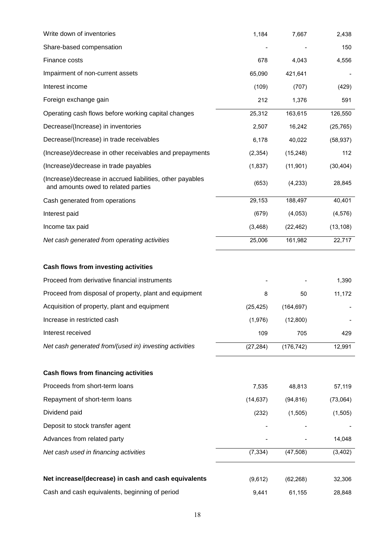| Write down of inventories                                                                         | 1,184     | 7,667      | 2,438     |
|---------------------------------------------------------------------------------------------------|-----------|------------|-----------|
| Share-based compensation                                                                          |           |            | 150       |
| Finance costs                                                                                     | 678       | 4,043      | 4,556     |
| Impairment of non-current assets                                                                  | 65,090    | 421,641    |           |
| Interest income                                                                                   | (109)     | (707)      | (429)     |
| Foreign exchange gain                                                                             | 212       | 1,376      | 591       |
| Operating cash flows before working capital changes                                               | 25,312    | 163,615    | 126,550   |
| Decrease/(Increase) in inventories                                                                | 2,507     | 16,242     | (25, 765) |
| Decrease/(Increase) in trade receivables                                                          | 6,178     | 40,022     | (58, 937) |
| (Increase)/decrease in other receivables and prepayments                                          | (2, 354)  | (15, 248)  | 112       |
| (Increase)/decrease in trade payables                                                             | (1,837)   | (11, 901)  | (30, 404) |
| (Increase)/decrease in accrued liabilities, other payables<br>and amounts owed to related parties | (653)     | (4, 233)   | 28,845    |
| Cash generated from operations                                                                    | 29,153    | 188,497    | 40,401    |
| Interest paid                                                                                     | (679)     | (4,053)    | (4, 576)  |
| Income tax paid                                                                                   | (3, 468)  | (22, 462)  | (13, 108) |
| Net cash generated from operating activities                                                      | 25,006    | 161,982    | 22,717    |
| Cash flows from investing activities                                                              |           |            |           |
| Proceed from derivative financial instruments                                                     |           |            | 1,390     |
| Proceed from disposal of property, plant and equipment                                            | 8         | 50         | 11,172    |
| Acquisition of property, plant and equipment                                                      | (25, 425) | (164, 697) |           |
| Increase in restricted cash                                                                       | (1,976)   | (12,800)   |           |
| Interest received                                                                                 | 109       | 705        | 429       |
| Net cash generated from/(used in) investing activities                                            | (27, 284) | (176, 742) | 12,991    |
| Cash flows from financing activities                                                              |           |            |           |
| Proceeds from short-term loans                                                                    | 7,535     | 48,813     | 57,119    |
| Repayment of short-term loans                                                                     | (14, 637) | (94, 816)  | (73,064)  |
| Dividend paid                                                                                     | (232)     | (1, 505)   | (1, 505)  |
| Deposit to stock transfer agent                                                                   |           |            |           |
| Advances from related party                                                                       |           |            | 14,048    |
| Net cash used in financing activities                                                             | (7, 334)  | (47, 508)  | (3, 402)  |
| Net increase/(decrease) in cash and cash equivalents                                              | (9,612)   | (62, 268)  | 32,306    |
| Cash and cash equivalents, beginning of period                                                    | 9,441     | 61,155     | 28,848    |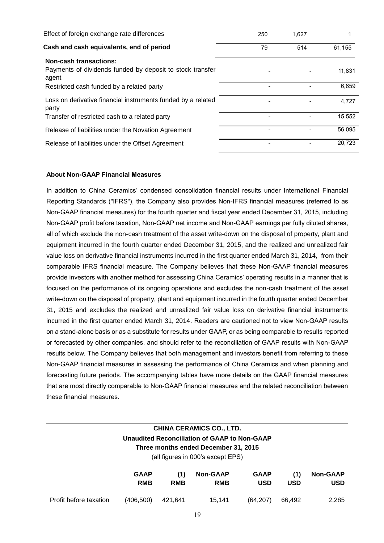| Effect of foreign exchange rate differences                                                         | 250 | 1,627 |        |
|-----------------------------------------------------------------------------------------------------|-----|-------|--------|
| Cash and cash equivalents, end of period                                                            | 79  | 514   | 61,155 |
| <b>Non-cash transactions:</b><br>Payments of dividends funded by deposit to stock transfer<br>agent |     |       | 11,831 |
| Restricted cash funded by a related party                                                           |     |       | 6,659  |
| Loss on derivative financial instruments funded by a related<br>party                               |     |       | 4.727  |
| Transfer of restricted cash to a related party                                                      |     |       | 15,552 |
| Release of liabilities under the Novation Agreement                                                 |     |       | 56.095 |
| Release of liabilities under the Offset Agreement                                                   |     |       | 20.723 |

# **About Non-GAAP Financial Measures**

In addition to China Ceramics' condensed consolidation financial results under International Financial Reporting Standards ("IFRS"), the Company also provides Non-IFRS financial measures (referred to as Non-GAAP financial measures) for the fourth quarter and fiscal year ended December 31, 2015, including Non-GAAP profit before taxation, Non-GAAP net income and Non-GAAP earnings per fully diluted shares, all of which exclude the non-cash treatment of the asset write-down on the disposal of property, plant and equipment incurred in the fourth quarter ended December 31, 2015, and the realized and unrealized fair value loss on derivative financial instruments incurred in the first quarter ended March 31, 2014, from their comparable IFRS financial measure. The Company believes that these Non-GAAP financial measures provide investors with another method for assessing China Ceramics' operating results in a manner that is focused on the performance of its ongoing operations and excludes the non-cash treatment of the asset write-down on the disposal of property, plant and equipment incurred in the fourth quarter ended December 31, 2015 and excludes the realized and unrealized fair value loss on derivative financial instruments incurred in the first quarter ended March 31, 2014. Readers are cautioned not to view Non-GAAP results on a stand-alone basis or as a substitute for results under GAAP, or as being comparable to results reported or forecasted by other companies, and should refer to the reconciliation of GAAP results with Non-GAAP results below. The Company believes that both management and investors benefit from referring to these Non-GAAP financial measures in assessing the performance of China Ceramics and when planning and forecasting future periods. The accompanying tables have more details on the GAAP financial measures that are most directly comparable to Non-GAAP financial measures and the related reconciliation between these financial measures.

# **CHINA CERAMICS CO., LTD. Unaudited Reconciliation of GAAP to Non-GAAP Three months ended December 31, 2015** (all figures in 000's except EPS)

|                        | <b>GAAP</b><br><b>RMB</b> | (1)<br><b>RMB</b> | Non-GAAP<br><b>RMB</b> | GAAP<br><b>USD</b> | <b>USD</b> | (1) Non-GAAP<br>USD |
|------------------------|---------------------------|-------------------|------------------------|--------------------|------------|---------------------|
| Profit before taxation | $(406,500)$ 421,641       |                   | 15.141                 | (64.207) 66.492    |            | 2.285               |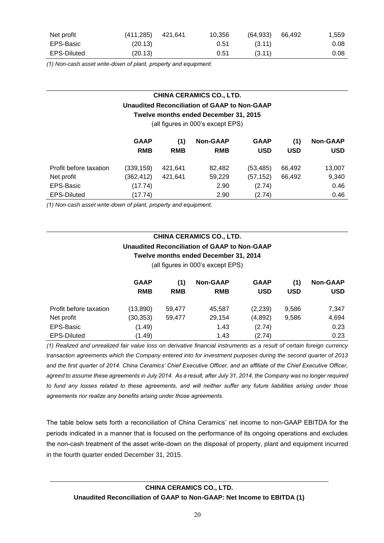| Net profit  | (411, 285) | 421.641 | 10,356 | (64, 933) | 66.492 | 1,559 |
|-------------|------------|---------|--------|-----------|--------|-------|
| EPS-Basic   | (20.13)    |         | 0.51   | (3.11)    |        | 0.08  |
| EPS-Diluted | (20.13)    |         | 0.51   | (3.11)    |        | 0.08  |

*(1) Non-cash asset write-down of plant, property and equipment.*

# **CHINA CERAMICS CO., LTD.**

## **Unaudited Reconciliation of GAAP to Non-GAAP**

**Twelve months ended December 31, 2015**

(all figures in 000's except EPS)

|                        | <b>GAAP</b><br><b>RMB</b> | (1)<br><b>RMB</b> | <b>Non-GAAP</b><br><b>RMB</b> | <b>GAAP</b><br><b>USD</b> | (1)<br><b>USD</b> | <b>Non-GAAP</b><br>USD |
|------------------------|---------------------------|-------------------|-------------------------------|---------------------------|-------------------|------------------------|
| Profit before taxation | (339, 159)                | 421.641           | 82.482                        | (53, 485)                 | 66.492            | 13,007                 |
| Net profit             | (362, 412)                | 421.641           | 59,229                        | (57, 152)                 | 66.492            | 9,340                  |
| EPS-Basic              | (17.74)                   |                   | 2.90                          | (2.74)                    |                   | 0.46                   |
| <b>EPS-Diluted</b>     | (17.74)                   |                   | 2.90                          | (2.74)                    |                   | 0.46                   |

*(1) Non-cash asset write-down of plant, property and equipment.*

# **CHINA CERAMICS CO., LTD. Unaudited Reconciliation of GAAP to Non-GAAP Twelve months ended December 31, 2014**

(all figures in 000's except EPS)

|                        | <b>GAAP</b><br><b>RMB</b> | (1)<br><b>RMB</b> | <b>Non-GAAP</b><br><b>RMB</b> | <b>GAAP</b><br><b>USD</b> | (1)<br><b>USD</b> | <b>Non-GAAP</b><br><b>USD</b> |
|------------------------|---------------------------|-------------------|-------------------------------|---------------------------|-------------------|-------------------------------|
| Profit before taxation | (13,890)                  | 59.477            | 45.587                        | (2,239)                   | 9.586             | 7,347                         |
| Net profit             | (30,353)                  | 59.477            | 29,154                        | (4,892)                   | 9.586             | 4,694                         |
| EPS-Basic              | (1.49)                    |                   | 1.43                          | (2.74)                    |                   | 0.23                          |
| <b>EPS-Diluted</b>     | (1.49)                    |                   | 1.43                          | (2.74)                    |                   | 0.23                          |

*(1) Realized and unrealized fair value loss on derivative financial instruments as a result of certain foreign currency transaction agreements which the Company entered into for investment purposes during the second quarter of 2013 and the first quarter of 2014. China Ceramics' Chief Executive Officer, and an affiliate of the Chief Executive Officer, agreed to assume these agreements in July 2014. As a result, after July 31, 2014, the Company was no longer required*  to fund any losses related to these agreements, and will neither suffer any future liabilities arising under those *agreements nor realize any benefits arising under those agreements.*

The table below sets forth a reconciliation of China Ceramics' net income to non-GAAP EBITDA for the periods indicated in a manner that is focused on the performance of its ongoing operations and excludes the non-cash treatment of the asset write-down on the disposal of property, plant and equipment incurred in the fourth quarter ended December 31, 2015.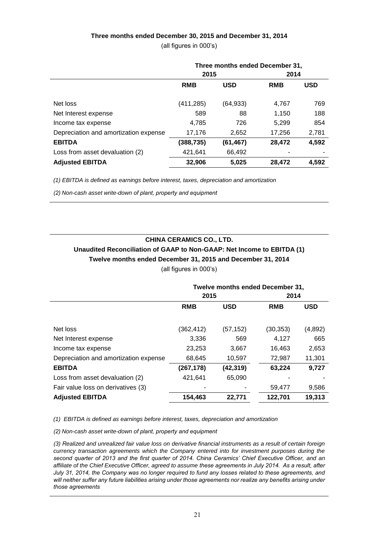# **Three months ended December 30, 2015 and December 31, 2014**

(all figures in 000's)

|                                       | Three months ended December 31, |            |            |            |
|---------------------------------------|---------------------------------|------------|------------|------------|
|                                       | 2015                            |            | 2014       |            |
|                                       | <b>RMB</b>                      | <b>USD</b> | <b>RMB</b> | <b>USD</b> |
| Net loss                              | (411,285)                       | (64, 933)  | 4,767      | 769        |
| Net Interest expense                  | 589                             | 88         | 1,150      | 188        |
| Income tax expense                    | 4,785                           | 726        | 5,299      | 854        |
| Depreciation and amortization expense | 17,176                          | 2,652      | 17,256     | 2,781      |
| <b>EBITDA</b>                         | (388,735)                       | (61, 467)  | 28,472     | 4,592      |
| Loss from asset devaluation (2)       | 421,641                         | 66,492     |            |            |
| <b>Adjusted EBITDA</b>                | 32,906                          | 5,025      | 28,472     | 4,592      |

*(1) EBITDA is defined as earnings before interest, taxes, depreciation and amortization*

*(2) Non-cash asset write-down of plant, property and equipment*

# **CHINA CERAMICS CO., LTD.**

# **Unaudited Reconciliation of GAAP to Non-GAAP: Net Income to EBITDA (1) Twelve months ended December 31, 2015 and December 31, 2014**

(all figures in 000's)

|                                       | Twelve months ended December 31, |            |            |            |  |
|---------------------------------------|----------------------------------|------------|------------|------------|--|
|                                       | 2015                             |            | 2014       |            |  |
|                                       | <b>RMB</b>                       | <b>USD</b> | <b>RMB</b> | <b>USD</b> |  |
| Net loss                              | (362,412)                        | (57,152)   | (30, 353)  | (4,892)    |  |
| Net Interest expense                  | 3,336                            | 569        | 4,127      | 665        |  |
| Income tax expense                    | 23,253                           | 3,667      | 16,463     | 2,653      |  |
| Depreciation and amortization expense | 68,645                           | 10,597     | 72,987     | 11,301     |  |
| <b>EBITDA</b>                         | (267,178)                        | (42,319)   | 63,224     | 9,727      |  |
| Loss from asset devaluation (2)       | 421,641                          | 65,090     |            |            |  |
| Fair value loss on derivatives (3)    |                                  |            | 59,477     | 9,586      |  |
| <b>Adjusted EBITDA</b>                | 154,463                          | 22,771     | 122,701    | 19,313     |  |

*(1) EBITDA is defined as earnings before interest, taxes, depreciation and amortization*

*(2) Non-cash asset write-down of plant, property and equipment*

*(3) Realized and unrealized fair value loss on derivative financial instruments as a result of certain foreign currency transaction agreements which the Company entered into for investment purposes during the second quarter of 2013 and the first quarter of 2014. China Ceramics' Chief Executive Officer, and an affiliate of the Chief Executive Officer, agreed to assume these agreements in July 2014. As a result, after July 31, 2014, the Company was no longer required to fund any losses related to these agreements, and will neither suffer any future liabilities arising under those agreements nor realize any benefits arising under those agreements*